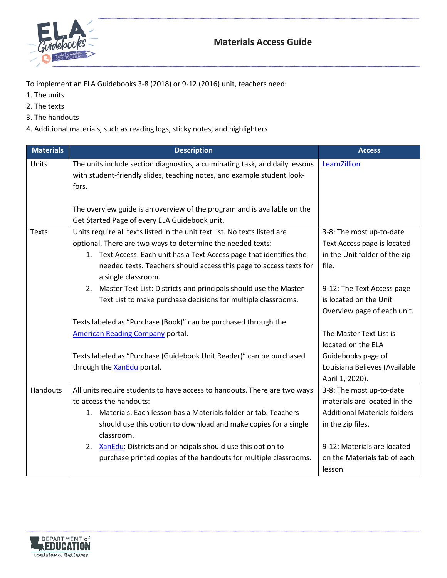

To implement an ELA Guidebooks 3-8 (2018) or 9-12 (2016) unit, teachers need:

- 1. The units
- 2. The texts
- 3. The handouts
- 4. Additional materials, such as reading logs, sticky notes, and highlighters

| Units        | The units include section diagnostics, a culminating task, and daily lessons<br>with student-friendly slides, teaching notes, and example student look-<br>fors.<br>The overview guide is an overview of the program and is available on the                                                                                                                                                       | LearnZillion                                                                                                                                                                                   |
|--------------|----------------------------------------------------------------------------------------------------------------------------------------------------------------------------------------------------------------------------------------------------------------------------------------------------------------------------------------------------------------------------------------------------|------------------------------------------------------------------------------------------------------------------------------------------------------------------------------------------------|
|              |                                                                                                                                                                                                                                                                                                                                                                                                    |                                                                                                                                                                                                |
|              | Get Started Page of every ELA Guidebook unit.                                                                                                                                                                                                                                                                                                                                                      |                                                                                                                                                                                                |
| <b>Texts</b> | Units require all texts listed in the unit text list. No texts listed are<br>optional. There are two ways to determine the needed texts:<br>1. Text Access: Each unit has a Text Access page that identifies the<br>needed texts. Teachers should access this page to access texts for<br>a single classroom.                                                                                      | 3-8: The most up-to-date<br>Text Access page is located<br>in the Unit folder of the zip<br>file.                                                                                              |
|              | 2. Master Text List: Districts and principals should use the Master<br>Text List to make purchase decisions for multiple classrooms.                                                                                                                                                                                                                                                               | 9-12: The Text Access page<br>is located on the Unit<br>Overview page of each unit.                                                                                                            |
|              | Texts labeled as "Purchase (Book)" can be purchased through the<br><b>American Reading Company portal.</b>                                                                                                                                                                                                                                                                                         | The Master Text List is<br>located on the ELA                                                                                                                                                  |
|              | Texts labeled as "Purchase (Guidebook Unit Reader)" can be purchased<br>through the XanEdu portal.                                                                                                                                                                                                                                                                                                 | Guidebooks page of<br>Louisiana Believes (Available<br>April 1, 2020).                                                                                                                         |
| Handouts     | All units require students to have access to handouts. There are two ways<br>to access the handouts:<br>1. Materials: Each lesson has a Materials folder or tab. Teachers<br>should use this option to download and make copies for a single<br>classroom.<br>XanEdu: Districts and principals should use this option to<br>2.<br>purchase printed copies of the handouts for multiple classrooms. | 3-8: The most up-to-date<br>materials are located in the<br><b>Additional Materials folders</b><br>in the zip files.<br>9-12: Materials are located<br>on the Materials tab of each<br>lesson. |